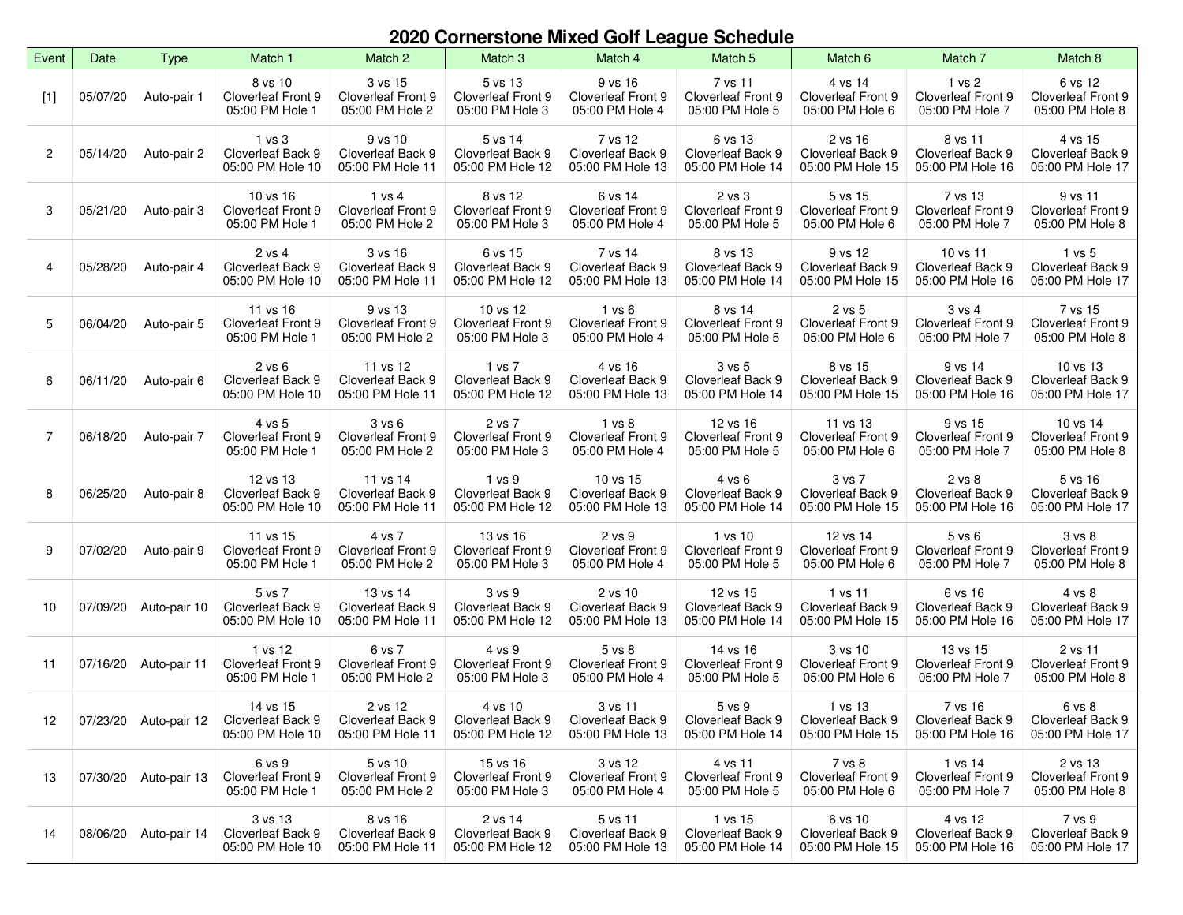## **2020 Cornerstone Mixed Golf League Schedule**

| Event | Date     | <b>Type</b>  | Match 1                                                                 | Match 2                                                 | Match <sub>3</sub>                                         | Match 4                                                 | Match 5                                                     | Match 6                                                  | Match 7                                                    | Match 8                                                           |
|-------|----------|--------------|-------------------------------------------------------------------------|---------------------------------------------------------|------------------------------------------------------------|---------------------------------------------------------|-------------------------------------------------------------|----------------------------------------------------------|------------------------------------------------------------|-------------------------------------------------------------------|
| [1]   | 05/07/20 | Auto-pair 1  | 8 vs 10<br><b>Cloverleaf Front 9</b><br>05:00 PM Hole 1                 | 3 vs 15<br><b>Cloverleaf Front 9</b><br>05:00 PM Hole 2 | 5 vs 13<br><b>Cloverleaf Front 9</b><br>05:00 PM Hole 3    | 9 vs 16<br>Cloverleaf Front 9<br>05:00 PM Hole 4        | 7 vs 11<br><b>Cloverleaf Front 9</b><br>05:00 PM Hole 5     | 4 vs 14<br><b>Cloverleaf Front 9</b><br>05:00 PM Hole 6  | $1$ vs $2$<br><b>Cloverleaf Front 9</b><br>05:00 PM Hole 7 | 6 vs 12<br><b>Cloverleaf Front 9</b><br>05:00 PM Hole 8           |
| 2     | 05/14/20 | Auto-pair 2  | 1 vs 3<br>Cloverleaf Back 9<br>05:00 PM Hole 10                         | 9 vs 10<br>Cloverleaf Back 9<br>05:00 PM Hole 11        | 5 vs 14<br>Cloverleaf Back 9<br>05:00 PM Hole 12           | 7 vs 12<br>Cloverleaf Back 9<br>05:00 PM Hole 13        | 6 vs 13<br>Cloverleaf Back 9<br>05:00 PM Hole 14            | 2 vs 16<br>Cloverleaf Back 9<br>05:00 PM Hole 15         | 8 vs 11<br>Cloverleaf Back 9<br>05:00 PM Hole 16           | 4 vs 15<br>Cloverleaf Back 9<br>05:00 PM Hole 17                  |
| 3     | 05/21/20 | Auto-pair 3  | 10 vs 16<br><b>Cloverleaf Front 9</b><br>05:00 PM Hole 1                | 1 vs 4<br><b>Cloverleaf Front 9</b><br>05:00 PM Hole 2  | 8 vs 12<br>Cloverleaf Front 9<br>05:00 PM Hole 3           | 6 vs 14<br><b>Cloverleaf Front 9</b><br>05:00 PM Hole 4 | 2 vs 3<br><b>Cloverleaf Front 9</b><br>05:00 PM Hole 5      | 5 vs 15<br>Cloverleaf Front 9<br>05:00 PM Hole 6         | 7 vs 13<br><b>Cloverleaf Front 9</b><br>05:00 PM Hole 7    | 9 vs 11<br><b>Cloverleaf Front 9</b><br>05:00 PM Hole 8           |
| 4     | 05/28/20 | Auto-pair 4  | 2 vs 4<br>Cloverleaf Back 9<br>05:00 PM Hole 10                         | 3 vs 16<br>Cloverleaf Back 9<br>05:00 PM Hole 11        | 6 vs 15<br>Cloverleaf Back 9<br>05:00 PM Hole 12           | 7 vs 14<br>Cloverleaf Back 9<br>05:00 PM Hole 13        | 8 vs 13<br>Cloverleaf Back 9<br>05:00 PM Hole 14            | 9 vs 12<br>Cloverleaf Back 9<br>05:00 PM Hole 15         | 10 vs 11<br>Cloverleaf Back 9<br>05:00 PM Hole 16          | 1 vs 5<br>Cloverleaf Back 9<br>05:00 PM Hole 17                   |
| 5     | 06/04/20 | Auto-pair 5  | 11 vs 16<br>Cloverleaf Front 9<br>05:00 PM Hole 1                       | 9 vs 13<br><b>Cloverleaf Front 9</b><br>05:00 PM Hole 2 | 10 vs 12<br><b>Cloverleaf Front 9</b><br>05:00 PM Hole 3   | 1 v s 6<br><b>Cloverleaf Front 9</b><br>05:00 PM Hole 4 | 8 vs 14<br>Cloverleaf Front 9<br>05:00 PM Hole 5            | 2 vs 5<br>Cloverleaf Front 9<br>05:00 PM Hole 6          | 3 v s 4<br>Cloverleaf Front 9<br>05:00 PM Hole 7           | 7 vs 15<br>Cloverleaf Front 9<br>05:00 PM Hole 8                  |
| 6     | 06/11/20 | Auto-pair 6  | 2 v s 6<br>Cloverleaf Back 9<br>05:00 PM Hole 10                        | 11 vs 12<br>Cloverleaf Back 9<br>05:00 PM Hole 11       | 1 vs 7<br>Cloverleaf Back 9<br>05:00 PM Hole 12            | 4 vs 16<br>Cloverleaf Back 9<br>05:00 PM Hole 13        | 3 v s 5<br>Cloverleaf Back 9<br>05:00 PM Hole 14            | 8 vs 15<br>Cloverleaf Back 9<br>05:00 PM Hole 15         | 9 vs 14<br>Cloverleaf Back 9<br>05:00 PM Hole 16           | 10 vs 13<br>Cloverleaf Back 9<br>05:00 PM Hole 17                 |
| 7     | 06/18/20 | Auto-pair 7  | 4 vs 5<br><b>Cloverleaf Front 9</b><br>05:00 PM Hole 1                  | 3 vs 6<br>Cloverleaf Front 9<br>05:00 PM Hole 2         | 2 vs 7<br><b>Cloverleaf Front 9</b><br>05:00 PM Hole 3     | 1 vs 8<br><b>Cloverleaf Front 9</b><br>05:00 PM Hole 4  | 12 vs 16<br><b>Cloverleaf Front 9</b><br>05:00 PM Hole 5    | 11 vs 13<br><b>Cloverleaf Front 9</b><br>05:00 PM Hole 6 | 9 vs 15<br><b>Cloverleaf Front 9</b><br>05:00 PM Hole 7    | 10 vs 14<br><b>Cloverleaf Front 9</b><br>05:00 PM Hole 8          |
| 8     | 06/25/20 | Auto-pair 8  | 12 vs 13<br>Cloverleaf Back 9<br>05:00 PM Hole 10                       | 11 vs 14<br>Cloverleaf Back 9<br>05:00 PM Hole 11       | 1 vs 9<br>Cloverleaf Back 9<br>05:00 PM Hole 12            | 10 vs 15<br>Cloverleaf Back 9<br>05:00 PM Hole 13       | 4 vs 6<br>Cloverleaf Back 9<br>05:00 PM Hole 14             | 3 vs 7<br>Cloverleaf Back 9<br>05:00 PM Hole 15          | 2 vs 8<br>Cloverleaf Back 9<br>05:00 PM Hole 16            | 5 vs 16<br>Cloverleaf Back 9<br>05:00 PM Hole 17                  |
| 9     | 07/02/20 | Auto-pair 9  | 11 vs 15<br><b>Cloverleaf Front 9</b><br>05:00 PM Hole 1                | 4 vs 7<br>Cloverleaf Front 9<br>05:00 PM Hole 2         | 13 vs 16<br><b>Cloverleaf Front 9</b><br>05:00 PM Hole 3   | 2 vs 9<br><b>Cloverleaf Front 9</b><br>05:00 PM Hole 4  | $1$ vs $10$<br><b>Cloverleaf Front 9</b><br>05:00 PM Hole 5 | 12 vs 14<br><b>Cloverleaf Front 9</b><br>05:00 PM Hole 6 | $5$ vs $6$<br><b>Cloverleaf Front 9</b><br>05:00 PM Hole 7 | 3 <sub>vs</sub> 8<br><b>Cloverleaf Front 9</b><br>05:00 PM Hole 8 |
| 10    | 07/09/20 | Auto-pair 10 | 5 vs 7<br>Cloverleaf Back 9<br>05:00 PM Hole 10                         | 13 vs 14<br>Cloverleaf Back 9<br>05:00 PM Hole 11       | 3 <sub>vs</sub> 9<br>Cloverleaf Back 9<br>05:00 PM Hole 12 | 2 vs 10<br>Cloverleaf Back 9<br>05:00 PM Hole 13        | 12 vs 15<br>Cloverleaf Back 9<br>05:00 PM Hole 14           | 1 vs 11<br>Cloverleaf Back 9<br>05:00 PM Hole 15         | 6 vs 16<br>Cloverleaf Back 9<br>05:00 PM Hole 16           | 4 vs 8<br>Cloverleaf Back 9<br>05:00 PM Hole 17                   |
| 11    | 07/16/20 | Auto-pair 11 | 1 vs 12<br>Cloverleaf Front 9<br>05:00 PM Hole 1                        | 6 vs 7<br><b>Cloverleaf Front 9</b><br>05:00 PM Hole 2  | 4 vs 9<br><b>Cloverleaf Front 9</b><br>05:00 PM Hole 3     | 5 vs 8<br><b>Cloverleaf Front 9</b><br>05:00 PM Hole 4  | 14 vs 16<br><b>Cloverleaf Front 9</b><br>05:00 PM Hole 5    | 3 vs 10<br>Cloverleaf Front 9<br>05:00 PM Hole 6         | 13 vs 15<br>Cloverleaf Front 9<br>05:00 PM Hole 7          | 2 vs 11<br><b>Cloverleaf Front 9</b><br>05:00 PM Hole 8           |
| 12    |          |              | 14 vs 15<br>07/23/20 Auto-pair 12 Cloverleaf Back 9<br>05:00 PM Hole 10 | 2 vs 12<br>Cloverleaf Back 9<br>05:00 PM Hole 11        | 4 vs 10<br>Cloverleaf Back 9<br>05:00 PM Hole 12           | 3 vs 11<br>Cloverleaf Back 9<br>05:00 PM Hole 13        | 5 <sub>vs</sub> 9<br>Cloverleaf Back 9<br>05:00 PM Hole 14  | 1 vs 13<br>Cloverleaf Back 9<br>05:00 PM Hole 15         | 7 vs 16<br>Cloverleaf Back 9<br>05:00 PM Hole 16           | 6 vs 8<br>Cloverleaf Back 9<br>05:00 PM Hole 17                   |
| 13    | 07/30/20 | Auto-pair 13 | 6 vs 9<br><b>Cloverleaf Front 9</b><br>05:00 PM Hole 1                  | 5 vs 10<br><b>Cloverleaf Front 9</b><br>05:00 PM Hole 2 | 15 vs 16<br>Cloverleaf Front 9<br>05:00 PM Hole 3          | 3 vs 12<br>Cloverleaf Front 9<br>05:00 PM Hole 4        | 4 vs 11<br>Cloverleaf Front 9<br>05:00 PM Hole 5            | 7 vs 8<br>Cloverleaf Front 9<br>05:00 PM Hole 6          | 1 vs 14<br>Cloverleaf Front 9<br>05:00 PM Hole 7           | 2 vs 13<br><b>Cloverleaf Front 9</b><br>05:00 PM Hole 8           |
| 14    | 08/06/20 | Auto-pair 14 | 3 vs 13<br>Cloverleaf Back 9<br>05:00 PM Hole 10                        | 8 vs 16<br>Cloverleaf Back 9<br>05:00 PM Hole 11        | 2 vs 14<br>Cloverleaf Back 9<br>05:00 PM Hole 12           | 5 vs 11<br>Cloverleaf Back 9<br>05:00 PM Hole 13        | 1 vs 15<br>Cloverleaf Back 9<br>05:00 PM Hole 14            | 6 vs 10<br>Cloverleaf Back 9<br>05:00 PM Hole 15         | 4 vs 12<br>Cloverleaf Back 9<br>05:00 PM Hole 16           | 7 vs 9<br>Cloverleaf Back 9<br>05:00 PM Hole 17                   |